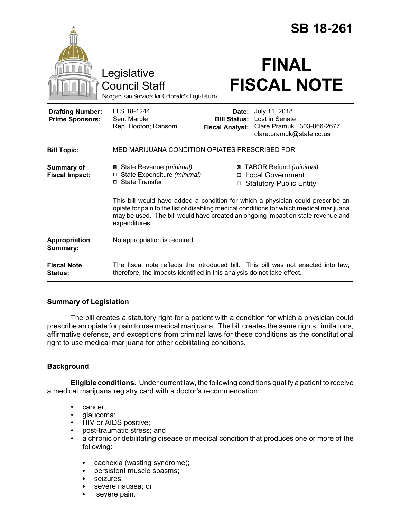|                                                   |                                                                                                                                                                                                                                                                                |                                                        | <b>SB 18-261</b>                                                                           |  |
|---------------------------------------------------|--------------------------------------------------------------------------------------------------------------------------------------------------------------------------------------------------------------------------------------------------------------------------------|--------------------------------------------------------|--------------------------------------------------------------------------------------------|--|
|                                                   | Legislative<br><b>Council Staff</b><br>Nonpartisan Services for Colorado's Legislature                                                                                                                                                                                         |                                                        | <b>FINAL</b><br><b>FISCAL NOTE</b>                                                         |  |
| <b>Drafting Number:</b><br><b>Prime Sponsors:</b> | LLS 18-1244<br>Sen. Marble<br>Rep. Hooton; Ransom                                                                                                                                                                                                                              | Date:<br><b>Bill Status:</b><br><b>Fiscal Analyst:</b> | July 11, 2018<br>Lost in Senate<br>Clare Pramuk   303-866-2677<br>clare.pramuk@state.co.us |  |
| <b>Bill Topic:</b>                                | MED MARIJUANA CONDITION OPIATES PRESCRIBED FOR                                                                                                                                                                                                                                 |                                                        |                                                                                            |  |
| <b>Summary of</b><br><b>Fiscal Impact:</b>        | ⊠ State Revenue (minimal)<br>□ State Expenditure (minimal)<br>□ State Transfer                                                                                                                                                                                                 | $\Box$                                                 | ⊠ TABOR Refund (minimal)<br>□ Local Government<br><b>Statutory Public Entity</b>           |  |
|                                                   | This bill would have added a condition for which a physician could prescribe an<br>opiate for pain to the list of disabling medical conditions for which medical marijuana<br>may be used. The bill would have created an ongoing impact on state revenue and<br>expenditures. |                                                        |                                                                                            |  |
| Appropriation<br>Summary:                         | No appropriation is required.                                                                                                                                                                                                                                                  |                                                        |                                                                                            |  |
| <b>Fiscal Note</b><br>Status:                     | The fiscal note reflects the introduced bill. This bill was not enacted into law;<br>therefore, the impacts identified in this analysis do not take effect.                                                                                                                    |                                                        |                                                                                            |  |

## **Summary of Legislation**

The bill creates a statutory right for a patient with a condition for which a physician could prescribe an opiate for pain to use medical marijuana. The bill creates the same rights, limitations, affirmative defense, and exceptions from criminal laws for these conditions as the constitutional right to use medical marijuana for other debilitating conditions.

## **Background**

**Eligible conditions.** Under current law, the following conditions qualify a patient to receive a medical marijuana registry card with a doctor's recommendation:

- cancer;
- glaucoma;
- HIV or AIDS positive;
- post-traumatic stress; and
- a chronic or debilitating disease or medical condition that produces one or more of the following:
	- $\triangleright$  cachexia (wasting syndrome);
	- **PEREFIGER** persistent muscle spasms;
	- ▶ seizures;
	- **EXECUTE:** Severe nausea; or
	- severe pain.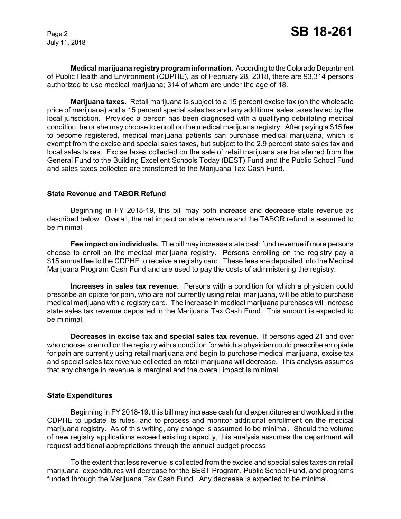July 11, 2018

**Medical marijuana registry program information.** According to the Colorado Department of Public Health and Environment (CDPHE), as of February 28, 2018, there are 93,314 persons authorized to use medical marijuana; 314 of whom are under the age of 18.

**Marijuana taxes.** Retail marijuana is subject to a 15 percent excise tax (on the wholesale price of marijuana) and a 15 percent special sales tax and any additional sales taxes levied by the local jurisdiction. Provided a person has been diagnosed with a qualifying debilitating medical condition, he or she may choose to enroll on the medical marijuana registry. After paying a \$15 fee to become registered, medical marijuana patients can purchase medical marijuana, which is exempt from the excise and special sales taxes, but subject to the 2.9 percent state sales tax and local sales taxes. Excise taxes collected on the sale of retail marijuana are transferred from the General Fund to the Building Excellent Schools Today (BEST) Fund and the Public School Fund and sales taxes collected are transferred to the Marijuana Tax Cash Fund.

### **State Revenue and TABOR Refund**

Beginning in FY 2018-19, this bill may both increase and decrease state revenue as described below. Overall, the net impact on state revenue and the TABOR refund is assumed to be minimal.

**Fee impact on individuals.** The bill may increase state cash fund revenue if more persons choose to enroll on the medical marijuana registry. Persons enrolling on the registry pay a \$15 annual fee to the CDPHE to receive a registry card. These fees are deposited into the Medical Marijuana Program Cash Fund and are used to pay the costs of administering the registry.

**Increases in sales tax revenue.** Persons with a condition for which a physician could prescribe an opiate for pain, who are not currently using retail marijuana, will be able to purchase medical marijuana with a registry card. The increase in medical marijuana purchases will increase state sales tax revenue deposited in the Marijuana Tax Cash Fund. This amount is expected to be minimal.

**Decreases in excise tax and special sales tax revenue.** If persons aged 21 and over who choose to enroll on the registry with a condition for which a physician could prescribe an opiate for pain are currently using retail marijuana and begin to purchase medical marijuana, excise tax and special sales tax revenue collected on retail marijuana will decrease. This analysis assumes that any change in revenue is marginal and the overall impact is minimal.

#### **State Expenditures**

Beginning in FY 2018-19, this bill may increase cash fund expenditures and workload in the CDPHE to update its rules, and to process and monitor additional enrollment on the medical marijuana registry. As of this writing, any change is assumed to be minimal. Should the volume of new registry applications exceed existing capacity, this analysis assumes the department will request additional appropriations through the annual budget process.

To the extent that less revenue is collected from the excise and special sales taxes on retail marijuana, expenditures will decrease for the BEST Program, Public School Fund, and programs funded through the Marijuana Tax Cash Fund. Any decrease is expected to be minimal.